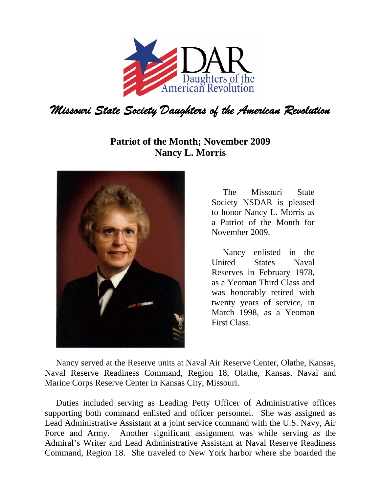

## **Patriot of the Month; November 2009 Nancy L. Morris**



The Missouri State Society NSDAR is pleased to honor Nancy L. Morris as a Patriot of the Month for November 2009.

Nancy enlisted in the United States Naval Reserves in February 1978, as a Yeoman Third Class and was honorably retired with twenty years of service, in March 1998, as a Yeoman First Class.

Nancy served at the Reserve units at Naval Air Reserve Center, Olathe, Kansas, Naval Reserve Readiness Command, Region 18, Olathe, Kansas, Naval and Marine Corps Reserve Center in Kansas City, Missouri.

Duties included serving as Leading Petty Officer of Administrative offices supporting both command enlisted and officer personnel. She was assigned as Lead Administrative Assistant at a joint service command with the U.S. Navy, Air Force and Army. Another significant assignment was while serving as the Admiral's Writer and Lead Administrative Assistant at Naval Reserve Readiness Command, Region 18. She traveled to New York harbor where she boarded the